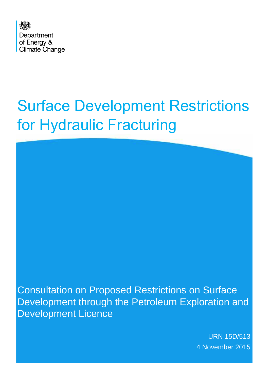

# Surface Development Restrictions for Hydraulic Fracturing

Consultation on Proposed Restrictions on Surface Development through the Petroleum Exploration and Development Licence

> URN 15D/513 4 November 2015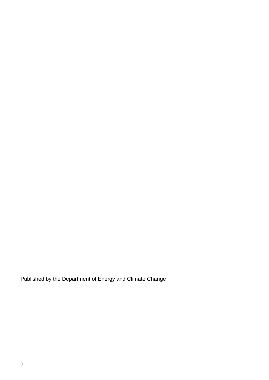Published by the Department of Energy and Climate Change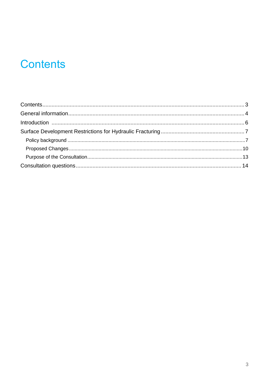# **Contents**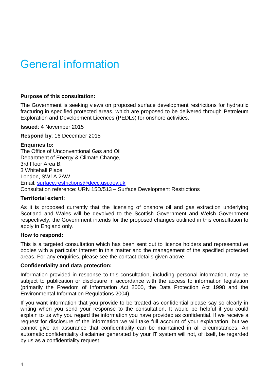# General information

#### **Purpose of this consultation:**

The Government is seeking views on proposed surface development restrictions for hydraulic fracturing in specified protected areas, which are proposed to be delivered through Petroleum Exploration and Development Licences (PEDLs) for onshore activities.

**Issued**: 4 November 2015

**Respond by**: 16 December 2015

#### **Enquiries to:**

The Office of Unconventional Gas and Oil Department of Energy & Climate Change, 3rd Floor Area B, 3 Whitehall Place London, SW1A 2AW Email: surface.restrictions@decc.gsi.gov.uk Consultation reference: URN 15D/513 – Surface Development Restrictions

#### **Territorial extent:**

As it is proposed currently that the licensing of onshore oil and gas extraction underlying Scotland and Wales will be devolved to the Scottish Government and Welsh Government respectively, the Government intends for the proposed changes outlined in this consultation to apply in England only.

#### **How to respond:**

This is a targeted consultation which has been sent out to licence holders and representative bodies with a particular interest in this matter and the management of the specified protected areas. For any enquiries, please see the contact details given above.

#### **Confidentiality and data protection:**

Information provided in response to this consultation, including personal information, may be subject to publication or disclosure in accordance with the access to information legislation (primarily the Freedom of Information Act 2000, the Data Protection Act 1998 and the Environmental Information Regulations 2004).

If you want information that you provide to be treated as confidential please say so clearly in writing when you send your response to the consultation. It would be helpful if you could explain to us why you regard the information you have provided as confidential. If we receive a request for disclosure of the information we will take full account of your explanation, but we cannot give an assurance that confidentiality can be maintained in all circumstances. An automatic confidentiality disclaimer generated by your IT system will not, of itself, be regarded by us as a confidentiality request.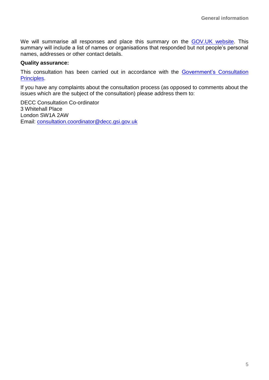We will summarise all responses and place this summary on the [GOV.UK website.](https://www.gov.uk/government/publications?departments%5B%5D=department-of-energy-climate-change&publication_filter_option=consultations) This summary will include a list of names or organisations that responded but not people's personal names, addresses or other contact details.

#### **Quality assurance:**

This consultation has been carried out in accordance with the Government's Consultation [Principles.](https://www.gov.uk/government/publications/consultation-principles-guidance)

If you have any complaints about the consultation process (as opposed to comments about the issues which are the subject of the consultation) please address them to:

DECC Consultation Co-ordinator 3 Whitehall Place London SW1A 2AW Email: [consultation.coordinator@decc.gsi.gov.uk](mailto:consultation.coordinator@decc.gsi.gov.uk)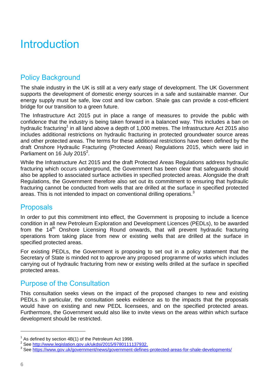# Introduction

## Policy Background

The shale industry in the UK is still at a very early stage of development. The UK Government supports the development of domestic energy sources in a safe and sustainable manner. Our energy supply must be safe, low cost and low carbon. Shale gas can provide a cost-efficient bridge for our transition to a green future.

The Infrastructure Act 2015 put in place a range of measures to provide the public with confidence that the industry is being taken forward in a balanced way. This includes a ban on hydraulic fracturing<sup>1</sup> in all land above a depth of 1,000 metres. The Infrastructure Act 2015 also includes additional restrictions on hydraulic fracturing in protected groundwater source areas and other protected areas. The terms for these additional restrictions have been defined by the draft Onshore Hydraulic Fracturing (Protected Areas) Regulations 2015, which were laid in Parliament on  $16$  July 2015<sup>2</sup>.

While the Infrastructure Act 2015 and the draft Protected Areas Regulations address hydraulic fracturing which occurs underground, the Government has been clear that safeguards should also be applied to associated surface activities in specified protected areas. Alongside the draft Regulations, the Government therefore also set out its commitment to ensuring that hydraulic fracturing cannot be conducted from wells that are drilled at the surface in specified protected areas. This is not intended to impact on conventional drilling operations.<sup>3</sup>

#### **Proposals**

In order to put this commitment into effect, the Government is proposing to include a licence condition in all new Petroleum Exploration and Development Licences (PEDLs), to be awarded from the 14<sup>th</sup> Onshore Licensing Round onwards, that will prevent hydraulic fracturing operations from taking place from new or existing wells that are drilled at the surface in specified protected areas.

For existing PEDLs, the Government is proposing to set out in a policy statement that the Secretary of State is minded not to approve any proposed programme of works which includes carrying out of hydraulic fracturing from new or existing wells drilled at the surface in specified protected areas.

### Purpose of the Consultation

This consultation seeks views on the impact of the proposed changes to new and existing PEDLs. In particular, the consultation seeks evidence as to the impacts that the proposals would have on existing and new PEDL licensees, and on the specified protected areas. Furthermore, the Government would also like to invite views on the areas within which surface development should be restricted.

 $1$  As defined by section 4B(1) of the Petroleum Act 1998.

<sup>&</sup>lt;sup>2</sup> See [http://www.legislation.gov.uk/ukdsi/2015/9780111137932.](http://www.legislation.gov.uk/ukdsi/2015/9780111137932)

<sup>&</sup>lt;sup>3</sup> See<https://www.gov.uk/government/news/government-defines-protected-areas-for-shale-developments/>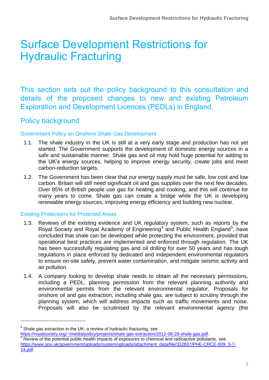# Surface Development Restrictions for Hydraulic Fracturing

This section sets out the policy background to this consultation and details of the proposed changes to new and existing Petroleum Exploration and Development Licences (PEDLs) in England.

### Policy background

#### Government Policy on Onshore Shale Gas Development

- 1.1. The shale industry in the UK is still at a very early stage and production has not yet started. The Government supports the development of domestic energy sources in a safe and sustainable manner. Shale gas and oil may hold huge potential for adding to the UK's energy sources, helping to improve energy security, create jobs and meet carbon-reduction targets.
- 1.2. The Government has been clear that our energy supply must be safe, low cost and low carbon. Britain will still need significant oil and gas supplies over the next few decades. Over 85% of British people use gas for heating and cooking, and this will continue for many years to come. Shale gas can create a bridge while the UK is developing renewable energy sources, improving energy efficiency and building new nuclear.

#### Existing Protections for Protected Areas

- 1.3. Reviews of the existing evidence and UK regulatory system, such as reports by the Royal Society and Royal Academy of Engineering<sup>4</sup> and Public Health England<sup>5</sup>, have concluded that shale can be developed while protecting the environment, provided that operational best practices are implemented and enforced through regulation. The UK has been successfully regulating gas and oil drilling for over 50 years and has tough regulations in place enforced by dedicated and independent environmental regulators to ensure on-site safety, prevent water contamination, and mitigate seismic activity and air pollution.
- 1.4. A company looking to develop shale needs to obtain all the necessary permissions, including a PEDL, planning permission from the relevant planning authority and environmental permits from the relevant environmental regulator. Proposals for onshore oil and gas extraction, including shale gas, are subject to scrutiny through the planning system, which will address impacts such as traffic movements and noise. Proposals will also be scrutinised by the relevant environmental agency (the

 $4$  Shale gas extraction in the UK: a review of hydraulic fracturing, see

[https://royalsociety.org/~/media/policy/projects/shale-gas-extraction/2012-06-28-shale-gas.pdf.](https://royalsociety.org/~/media/policy/projects/shale-gas-extraction/2012-06-28-shale-gas.pdf) <sup>5</sup> Review of the potential public health impacts of exposures to chemical and radioactive pollutants, see [https://www.gov.uk/government/uploads/system/uploads/attachment\\_data/file/332837/PHE-CRCE-009\\_3-7-](https://www.gov.uk/government/uploads/system/uploads/attachment_data/file/332837/PHE-CRCE-009_3-7-14.pdf) [14.pdf.](https://www.gov.uk/government/uploads/system/uploads/attachment_data/file/332837/PHE-CRCE-009_3-7-14.pdf)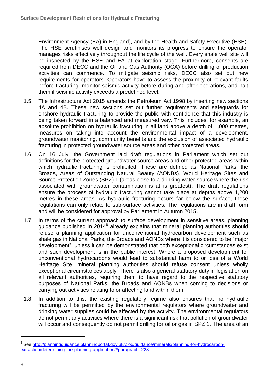Environment Agency (EA) in England), and by the Health and Safety Executive (HSE). The HSE scrutinises well design and monitors its progress to ensure the operator manages risks effectively throughout the life cycle of the well. Every shale well site will be inspected by the HSE and EA at exploration stage. Furthermore, consents are required from DECC and the Oil and Gas Authority (OGA) before drilling or production activities can commence. To mitigate seismic risks, DECC also set out new requirements for operators. Operators have to assess the proximity of relevant faults before fracturing, monitor seismic activity before during and after operations, and halt them if seismic activity exceeds a predefined level.

- 1.5. The Infrastructure Act 2015 amends the Petroleum Act 1998 by inserting new sections 4A and 4B. These new sections set out further requirements and safeguards for onshore hydraulic fracturing to provide the public with confidence that this industry is being taken forward in a balanced and measured way. This includes, for example, an absolute prohibition on hydraulic fracturing in all land above a depth of 1,000 metres, measures on taking into account the environmental impact of a development, groundwater monitoring, community benefits and the exclusion of associated hydraulic fracturing in protected groundwater source areas and other protected areas.
- 1.6. On 16 July, the Government laid draft regulations in Parliament which set out definitions for the protected groundwater source areas and other protected areas within which hydraulic fracturing is prohibited. These are defined as National Parks, the Broads, Areas of Outstanding Natural Beauty (AONBs), World Heritage Sites and Source Protection Zones (SPZ) 1 (areas close to a drinking water source where the risk associated with groundwater contamination is at is greatest). The draft regulations ensure the process of hydraulic fracturing cannot take place at depths above 1,200 metres in these areas. As hydraulic fracturing occurs far below the surface, these regulations can only relate to sub-surface activities. The regulations are in draft form and will be considered for approval by Parliament in Autumn 2015.
- 1.7. In terms of the current approach to surface development in sensitive areas, planning guidance published in  $2014^6$  already explains that mineral planning authorities should refuse a planning application for unconventional hydrocarbon development such as shale gas in National Parks, the Broads and AONBs where it is considered to be "major development", unless it can be demonstrated that both exceptional circumstances exist and such development is in the public interest. Where a proposed development for unconventional hydrocarbons would lead to substantial harm to or loss of a World Heritage Site, mineral planning authorities should refuse consent unless wholly exceptional circumstances apply. There is also a general statutory duty in legislation on all relevant authorities, requiring them to have regard to the respective statutory purposes of National Parks, the Broads and AONBs when coming to decisions or carrying out activities relating to or affecting land within them.
- 1.8. In addition to this, the existing regulatory regime also ensures that no hydraulic fracturing will be permitted by the environmental regulators where groundwater and drinking water supplies could be affected by the activity. The environmental regulators do not permit any activities where there is a significant risk that pollution of groundwater will occur and consequently do not permit drilling for oil or gas in SPZ 1. The area of an

<sup>&</sup>lt;sup>6</sup> See [http://planningguidance.planningportal.gov.uk/blog/guidance/minerals/planning-for-hydrocarbon](http://planningguidance.planningportal.gov.uk/blog/guidance/minerals/planning-for-hydrocarbon-extraction/determining-the-planning-application/#paragraph_223)[extraction/determining-the-planning-application/#paragraph\\_223.](http://planningguidance.planningportal.gov.uk/blog/guidance/minerals/planning-for-hydrocarbon-extraction/determining-the-planning-application/#paragraph_223)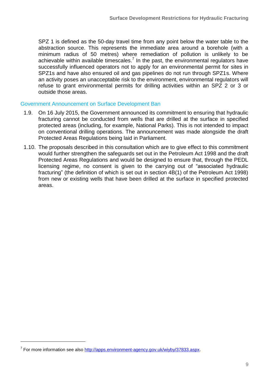SPZ 1 is defined as the 50-day travel time from any point below the water table to the abstraction source. This represents the immediate area around a borehole (with a minimum radius of 50 metres) where remediation of pollution is unlikely to be achievable within available timescales.<sup>7</sup> In the past, the environmental regulators have successfully influenced operators not to apply for an environmental permit for sites in SPZ1s and have also ensured oil and gas pipelines do not run through SPZ1s. Where an activity poses an unacceptable risk to the environment, environmental regulators will refuse to grant environmental permits for drilling activities within an SPZ 2 or 3 or outside those areas.

#### Government Announcement on Surface Development Ban

- 1.9. On 16 July 2015, the Government announced its commitment to ensuring that hydraulic fracturing cannot be conducted from wells that are drilled at the surface in specified protected areas (including, for example, National Parks). This is not intended to impact on conventional drilling operations. The announcement was made alongside the draft Protected Areas Regulations being laid in Parliament.
- 1.10. The proposals described in this consultation which are to give effect to this commitment would further strengthen the safeguards set out in the Petroleum Act 1998 and the draft Protected Areas Regulations and would be designed to ensure that, through the PEDL licensing regime, no consent is given to the carrying out of "associated hydraulic fracturing" (the definition of which is set out in section 4B(1) of the Petroleum Act 1998) from new or existing wells that have been drilled at the surface in specified protected areas.

<u>.</u>

<sup>&</sup>lt;sup>7</sup> For more information see also [http://apps.environment-agency.gov.uk/wiyby/37833.aspx.](http://apps.environment-agency.gov.uk/wiyby/37833.aspx)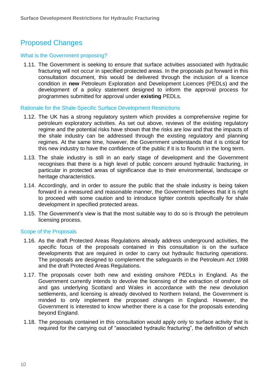# Proposed Changes

#### What is the Government proposing?

1.11. The Government is seeking to ensure that surface activities associated with hydraulic fracturing will not occur in specified protected areas. In the proposals put forward in this consultation document, this would be delivered through the inclusion of a licence condition in **new** Petroleum Exploration and Development Licences (PEDLs) and the development of a policy statement designed to inform the approval process for programmes submitted for approval under **existing** PEDLs.

Rationale for the Shale-Specific Surface Development Restrictions

- 1.12. The UK has a strong regulatory system which provides a comprehensive regime for petroleum exploratory activities. As set out above, reviews of the existing regulatory regime and the potential risks have shown that the risks are low and that the impacts of the shale industry can be addressed through the existing regulatory and planning regimes. At the same time, however, the Government understands that it is critical for this new industry to have the confidence of the public if it is to flourish in the long term.
- 1.13. The shale industry is still in an early stage of development and the Government recognises that there is a high level of public concern around hydraulic fracturing, in particular in protected areas of significance due to their environmental, landscape or heritage characteristics.
- 1.14. Accordingly, and in order to assure the public that the shale industry is being taken forward in a measured and reasonable manner, the Government believes that it is right to proceed with some caution and to introduce tighter controls specifically for shale development in specified protected areas.
- 1.15. The Government's view is that the most suitable way to do so is through the petroleum licensing process.

#### Scope of the Proposals

- 1.16. As the draft Protected Areas Regulations already address underground activities, the specific focus of the proposals contained in this consultation is on the surface developments that are required in order to carry out hydraulic fracturing operations. The proposals are designed to complement the safeguards in the Petroleum Act 1998 and the draft Protected Areas Regulations.
- 1.17. The proposals cover both new and existing onshore PEDLs in England. As the Government currently intends to devolve the licensing of the extraction of onshore oil and gas underlying Scotland and Wales in accordance with the new devolution settlements, and licensing is already devolved to Northern Ireland, the Government is minded to only implement the proposed changes in England. However, the Government is interested to know whether there is a case for the proposals extending beyond England.
- 1.18. The proposals contained in this consultation would apply only to surface activity that is required for the carrying out of "associated hydraulic fracturing", the definition of which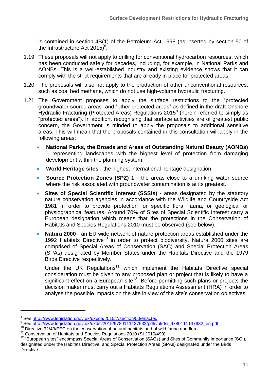is contained in section 4B(1) of the Petroleum Act 1998 (as inserted by section 50 of the Infrastructure Act 2015) $^8$ .

- 1.19. These proposals will not apply to drilling for conventional hydrocarbon resources, which has been conducted safely for decades, including, for example, in National Parks and AONBs. This is a well-established industry and existing evidence shows that it can comply with the strict requirements that are already in place for protected areas.
- 1.20. The proposals will also not apply to the production of other unconventional resources, such as coal bed methane, which do not use high-volume hydraulic fracturing.
- 1.21. The Government proposes to apply the surface restrictions to the "protected groundwater source areas" and "other protected areas" as defined in the draft Onshore Hydraulic Fracturing (Protected Areas) Regulations 2015 $9$  (herein referred to simply as "protected areas"). In addition, recognising that surface activities are of greatest public concern, the Government is minded to apply the proposals to additional sensitive areas. This will mean that the proposals contained in this consultation will apply in the following areas:
	- **National Parks, the Broads and Areas of Outstanding Natural Beauty (AONBs)** – representing landscapes with the highest level of protection from damaging development within the planning system.
	- **World Heritage sites** the highest international heritage designation.
	- **Source Protection Zones (SPZ) 1** the areas close to a drinking water source where the risk associated with groundwater contamination is at its greatest.
	- **Sites of Special Scientific Interest (SSSIs) -** areas designated by the statutory nature conservation agencies in accordance with the Wildlife and Countryside Act 1981 in order to provide protection for specific flora, fauna, or geological or physiographical features. Around 70% of Sites of Special Scientific Interest carry a European designation which means that the protections in the Conservation of Habitats and Species Regulations 2010 must be observed (see below).
	- **Natura 2000**  an EU-wide network of nature protection areas established under the 1992 Habitats Directive<sup>10</sup> in order to protect biodiversity. Natura 2000 sites are comprised of Special Areas of Conservation (SAC) and Special Protection Areas (SPAs) designated by Member States under the Habitats Directive and the 1979 Birds Directive respectively.

Under the UK Regulations<sup>11</sup> which implement the Habitats Directive special consideration must be given to any proposed plan or project that is likely to have a significant effect on a European site<sup>12</sup>. Before permitting such plans or projects the decision maker must carry out a Habitats Regulations Assessment (HRA) in order to analyse the possible impacts on the site in view of the site's conservation objectives.

<sup>&</sup>lt;sup>8</sup> See [http://www.legislation.gov.uk/ukpga/2015/7/section/50/enacted.](http://www.legislation.gov.uk/ukpga/2015/7/section/50/enacted)

<sup>9</sup> See [http://www.legislation.gov.uk/ukdsi/2015/9780111137932/pdfs/ukdsi\\_9780111137932\\_en.pdf.](http://www.legislation.gov.uk/ukdsi/2015/9780111137932/pdfs/ukdsi_9780111137932_en.pdf)

<sup>&</sup>lt;sup>10</sup> Directive 92/43/EEC on the conservation of natural habitats and of wild fauna and flora.

<sup>&</sup>lt;sup>11</sup> Conservation of Habitats and Species Regulations 2010 (SI 2010/490).

<sup>&</sup>lt;sup>12</sup> "European sites" encompass Special Areas of Conservation (SACs) and Sites of Community Importance (SCI), designated under the Habitats Directive, and Special Protection Areas (SPAs) designated under the Birds Directive.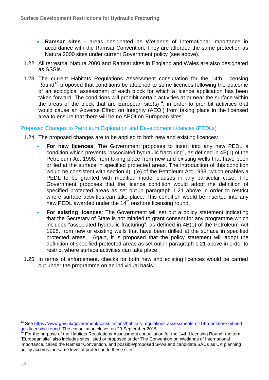- **Ramsar sites -** areas designated as Wetlands of International Importance in accordance with the Ramsar Convention. They are afforded the same protection as Natura 2000 sites under current Government policy (see above).
- 1.22. All terrestrial Natura 2000 and Ramsar sites in England and Wales are also designated as SSSIs.
- 1.23. The current Habitats Regulations Assessment consultation for the 14th Licensing Round<sup>13</sup> proposed that conditions be attached to some licences following the outcome of an ecological assessment of each block for which a licence application has been taken forward. The conditions will prohibit certain activities at or near the surface within the areas of the block that are European site(s)<sup>14</sup>, in order to prohibit activities that would cause an Adverse Effect on Integrity (AEOI) from taking place in the licensed area to ensure that there will be no AEOI on European sites.

#### Proposed Changes to Petroleum Exploration and Development Licences (PEDLs)

1.24. The proposed changes are to be applied to both new and existing licences:

- **For new licences**: The Government proposes to insert into any new PEDL a condition which prevents "associated hydraulic fracturing", as defined in 4B(1) of the Petroleum Act 1998, from taking place from new and existing wells that have been drilled at the surface in specified protected areas. The introduction of this condition would be consistent with section 4(1)(e) of the Petroleum Act 1998, which enables a PEDL to be granted with modified model clauses in any particular case. The Government proposes that the licence condition would adopt the definition of specified protected areas as set out in paragraph 1.21 above in order to restrict where surface activities can take place. This condition would be inserted into any new PEDL awarded under the 14<sup>th</sup> onshore licensing round.
- **For existing licences**: The Government will set out a policy statement indicating that the Secretary of State is not minded to grant consent for any programme which includes "associated hydraulic fracturing", as defined in 4B(1) of the Petroleum Act 1998, from new or existing wells that have been drilled at the surface in specified protected areas. Again, it is proposed that the policy statement will adopt the definition of specified protected areas as set out in paragraph 1.21 above in order to restrict where surface activities can take place.
- 1.25. In terms of enforcement, checks for both new and existing licences would be carried out under the programme on an individual basis.

<sup>&</sup>lt;sup>13</sup> See [https://www.gov.uk/government/consultations/habitats-regulations-assessments-of-14th-onshore-oil-and](https://www.gov.uk/government/consultations/habitats-regulations-assessments-of-14th-onshore-oil-and-gas-licensing-round)[gas-licensing-round.](https://www.gov.uk/government/consultations/habitats-regulations-assessments-of-14th-onshore-oil-and-gas-licensing-round) The consultation closes on 29 September 2015.

 $14$  For the purpose of the Habitats Regulations Assessment consultation for the 14th Licensing Round, the term "European site" also includes sites listed or proposed under The Convention on Wetlands of International Importance, called the Ramsar Convention, and possible/proposed SPAs and candidate SACs as UK planning policy accords the same level of protection to these sites.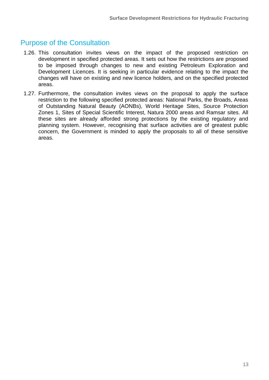### Purpose of the Consultation

- 1.26. This consultation invites views on the impact of the proposed restriction on development in specified protected areas. It sets out how the restrictions are proposed to be imposed through changes to new and existing Petroleum Exploration and Development Licences. It is seeking in particular evidence relating to the impact the changes will have on existing and new licence holders, and on the specified protected areas.
- 1.27. Furthermore, the consultation invites views on the proposal to apply the surface restriction to the following specified protected areas: National Parks, the Broads, Areas of Outstanding Natural Beauty (AONBs), World Heritage Sites, Source Protection Zones 1, Sites of Special Scientific Interest, Natura 2000 areas and Ramsar sites. All these sites are already afforded strong protections by the existing regulatory and planning system. However, recognising that surface activities are of greatest public concern, the Government is minded to apply the proposals to all of these sensitive areas.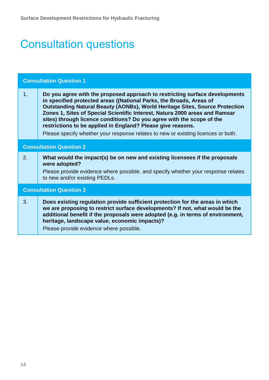# Consultation questions

| <b>Consultation Question 1</b> |                                                                                                                                                                                                                                                                                                                                                                                                                                                                                                                                                      |
|--------------------------------|------------------------------------------------------------------------------------------------------------------------------------------------------------------------------------------------------------------------------------------------------------------------------------------------------------------------------------------------------------------------------------------------------------------------------------------------------------------------------------------------------------------------------------------------------|
| 1.                             | Do you agree with the proposed approach to restricting surface developments<br>in specified protected areas ((National Parks, the Broads, Areas of<br><b>Outstanding Natural Beauty (AONBs), World Heritage Sites, Source Protection</b><br>Zones 1, Sites of Special Scientific Interest, Natura 2000 areas and Ramsar<br>sites) through licence conditions? Do you agree with the scope of the<br>restrictions to be applied in England? Please give reasons.<br>Please specify whether your response relates to new or existing licences or both. |
| <b>Consultation Question 2</b> |                                                                                                                                                                                                                                                                                                                                                                                                                                                                                                                                                      |
| 2.                             | What would the impact(s) be on new and existing licensees if the proposals<br>were adopted?<br>Please provide evidence where possible, and specify whether your response relates<br>to new and/or existing PEDLs.                                                                                                                                                                                                                                                                                                                                    |
| <b>Consultation Question 3</b> |                                                                                                                                                                                                                                                                                                                                                                                                                                                                                                                                                      |
| 3.                             | Does existing regulation provide sufficient protection for the areas in which<br>we are proposing to restrict surface developments? If not, what would be the<br>additional benefit if the proposals were adopted (e.g. in terms of environment,<br>heritage, landscape value, economic impacts)?<br>Please provide evidence where possible.                                                                                                                                                                                                         |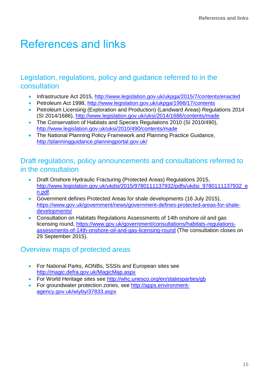# References and links

### Legislation, regulations, policy and guidance referred to in the consultation

- Infrastructure Act 2015,<http://www.legislation.gov.uk/ukpga/2015/7/contents/enacted>
- Petroleum Act 1998,<http://www.legislation.gov.uk/ukpga/1998/17/contents>
- Petroleum Licensing (Exploration and Production) (Landward Areas) Regulations 2014 (SI 2014/1686),<http://www.legislation.gov.uk/uksi/2014/1686/contents/made>
- The Conservation of Habitats and Species Regulations 2010 (SI 2010/490), <http://www.legislation.gov.uk/uksi/2010/490/contents/made>
- The National Planning Policy Framework and Planning Practice Guidance, <http://planningguidance.planningportal.gov.uk/>

### Draft regulations, policy announcements and consultations referred to in the consultation

- Draft Onshore Hydraulic Fracturing (Protected Areas) Regulations 2015, [http://www.legislation.gov.uk/ukdsi/2015/9780111137932/pdfs/ukdsi\\_9780111137932\\_e](http://www.legislation.gov.uk/ukdsi/2015/9780111137932/pdfs/ukdsi_9780111137932_en.pdf) [n.pdf.](http://www.legislation.gov.uk/ukdsi/2015/9780111137932/pdfs/ukdsi_9780111137932_en.pdf)
- Government defines Protected Areas for shale developments (16 July 2015), [https://www.gov.uk/government/news/government-defines-protected-areas-for-shale](https://www.gov.uk/government/news/government-defines-protected-areas-for-shale-developments/)[developments/](https://www.gov.uk/government/news/government-defines-protected-areas-for-shale-developments/)
- Consultation on Habitats Regulations Assessments of 14th onshore oil and gas licensing round, [https://www.gov.uk/government/consultations/habitats-regulations](https://www.gov.uk/government/consultations/habitats-regulations-assessments-of-14th-onshore-oil-and-gas-licensing-round)[assessments-of-14th-onshore-oil-and-gas-licensing-round](https://www.gov.uk/government/consultations/habitats-regulations-assessments-of-14th-onshore-oil-and-gas-licensing-round) (The consultation closes on 29 September 2015).

### Overview maps of protected areas

- **For National Parks, AONBs, SSSIs and European sites see** <http://magic.defra.gov.uk/MagicMap.aspx>
- For World Heritage sites see<http://whc.unesco.org/en/statesparties/gb>
- For groundwater protection zones, see [http://apps.environment](http://apps.environment-agency.gov.uk/wiyby/37833.aspx)[agency.gov.uk/wiyby/37833.aspx](http://apps.environment-agency.gov.uk/wiyby/37833.aspx)